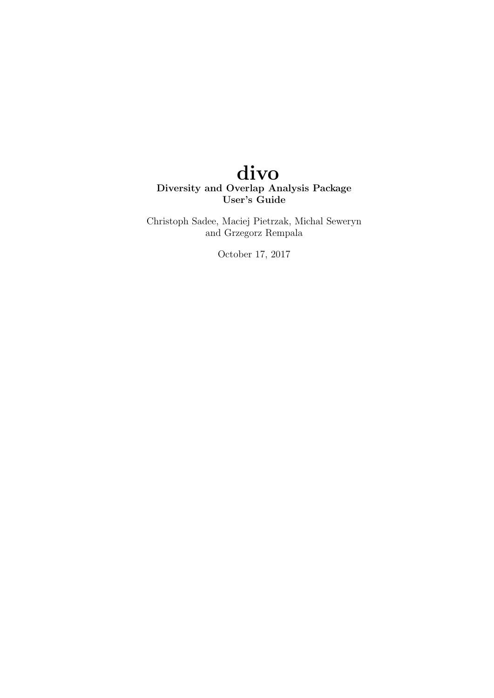# divo Diversity and Overlap Analysis Package User's Guide

Christoph Sadee, Maciej Pietrzak, Michal Seweryn and Grzegorz Rempala

October 17, 2017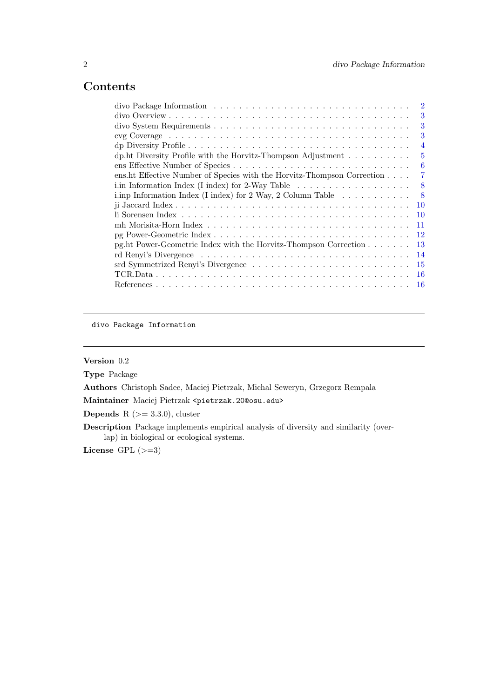# <span id="page-1-0"></span>Contents

divo Package Information

# Version 0.2

Type Package

Authors Christoph Sadee, Maciej Pietrzak, Michal Seweryn, Grzegorz Rempala

Maintainer Maciej Pietrzak <pietrzak.20@osu.edu>

**Depends** R  $(>= 3.3.0)$ , cluster

Description Package implements empirical analysis of diversity and similarity (overlap) in biological or ecological systems.

License GPL  $(>=3)$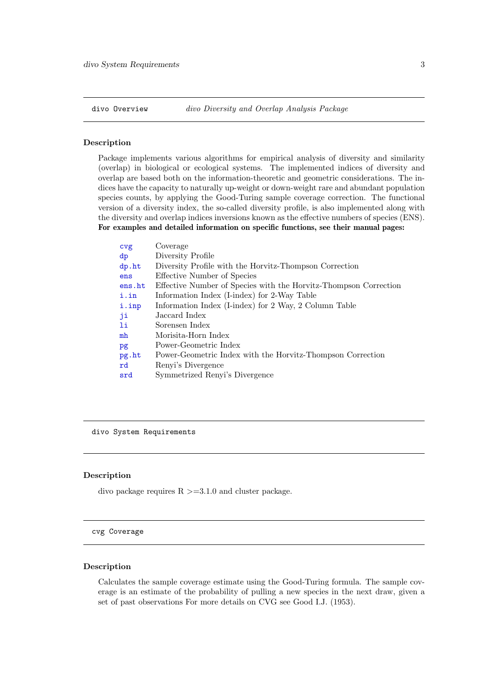<span id="page-2-0"></span>divo Overview divo Diversity and Overlap Analysis Package

#### Description

Package implements various algorithms for empirical analysis of diversity and similarity (overlap) in biological or ecological systems. The implemented indices of diversity and overlap are based both on the information-theoretic and geometric considerations. The indices have the capacity to naturally up-weight or down-weight rare and abundant population species counts, by applying the Good-Turing sample coverage correction. The functional version of a diversity index, the so-called diversity profile, is also implemented along with the diversity and overlap indices inversions known as the effective numbers of species (ENS). For examples and detailed information on specific functions, see their manual pages:

| cvg    | Coverage                                                         |
|--------|------------------------------------------------------------------|
| dp     | Diversity Profile                                                |
| dp.ht  | Diversity Profile with the Horvitz-Thompson Correction           |
| ens    | Effective Number of Species                                      |
| ens.ht | Effective Number of Species with the Horvitz-Thompson Correction |
| i.in   | Information Index (I-index) for 2-Way Table                      |
| i.inp  | Information Index (I-index) for 2 Way, 2 Column Table            |
| ji     | Jaccard Index                                                    |
| li     | Sorensen Index                                                   |
| mh     | Morisita-Horn Index                                              |
| pg     | Power-Geometric Index                                            |
| pg.ht  | Power-Geometric Index with the Horvitz-Thompson Correction       |
| rd     | Renyi's Divergence                                               |
| srd    | Symmetrized Renyi's Divergence                                   |
|        |                                                                  |

divo System Requirements

#### Description

divo package requires  $R > = 3.1.0$  and cluster package.

#### <span id="page-2-1"></span>cvg Coverage

#### Description

Calculates the sample coverage estimate using the Good-Turing formula. The sample coverage is an estimate of the probability of pulling a new species in the next draw, given a set of past observations For more details on CVG see Good I.J. (1953).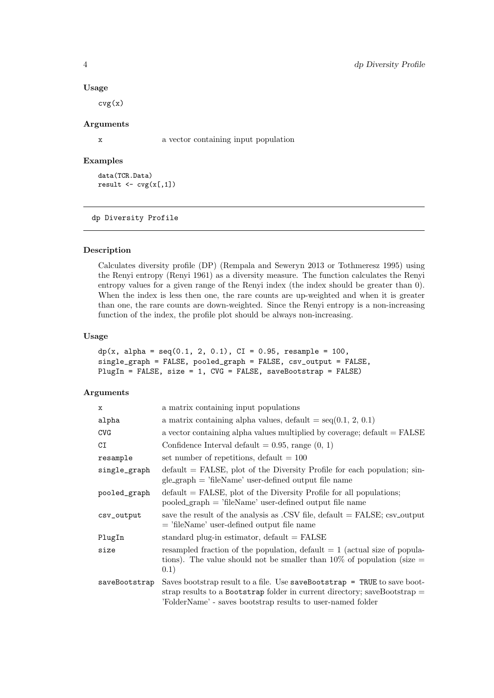#### Usage

 $cvg(x)$ 

# Arguments

x a vector containing input population

# Examples

data(TCR.Data) result  $\leftarrow$   $\text{cvg}(x[,1])$ 

#### <span id="page-3-1"></span>dp Diversity Profile

## Description

Calculates diversity profile (DP) (Rempala and Seweryn 2013 or Tothmeresz 1995) using the Renyi entropy (Renyi 1961) as a diversity measure. The function calculates the Renyi entropy values for a given range of the Renyi index (the index should be greater than 0). When the index is less then one, the rare counts are up-weighted and when it is greater than one, the rare counts are down-weighted. Since the Renyi entropy is a non-increasing function of the index, the profile plot should be always non-increasing.

#### Usage

```
dp(x, alpha = seq(0.1, 2, 0.1), CI = 0.95, resample = 100,single_graph = FALSE, pooled_graph = FALSE, csv_output = FALSE,
PlugIn = FALSE, size = 1, CVG = FALSE, saveBootstrap = FALSE)
```

| x             | a matrix containing input populations                                                                                                                                                                                    |
|---------------|--------------------------------------------------------------------------------------------------------------------------------------------------------------------------------------------------------------------------|
| alpha         | a matrix containing alpha values, default = $seq(0.1, 2, 0.1)$                                                                                                                                                           |
| <b>CVG</b>    | a vector containing alpha values multiplied by coverage; $default = FALSE$                                                                                                                                               |
| CI            | Confidence Interval default = $0.95$ , range $(0, 1)$                                                                                                                                                                    |
| resample      | set number of repetitions, default $= 100$                                                                                                                                                                               |
| single_graph  | $default = FALSE$ , plot of the Diversity Profile for each population; sin-<br>$gle\_graph = 'fileName'$ user-defined output file name                                                                                   |
| pooled_graph  | $default = FALSE$ , plot of the Diversity Profile for all populations;<br>$pooled\_graph = 'fileName' user-defined output file name$                                                                                     |
| csv_output    | save the result of the analysis as .CSV file, default $=$ FALSE; csv_output<br>$=$ 'fileName' user-defined output file name                                                                                              |
| PlugIn        | standard plug-in estimator, $default = FALSE$                                                                                                                                                                            |
| size          | resampled fraction of the population, default $= 1$ (actual size of popula-<br>tions). The value should not be smaller than $10\%$ of population (size $=$<br>0.1)                                                       |
| saveBootstrap | Saves bootstrap result to a file. Use saveBootstrap $=$ TRUE to save boot-<br>strap results to a Bootstrap folder in current directory; saveBootstrap $=$<br>'FolderName' - saves bootstrap results to user-named folder |

<span id="page-3-0"></span>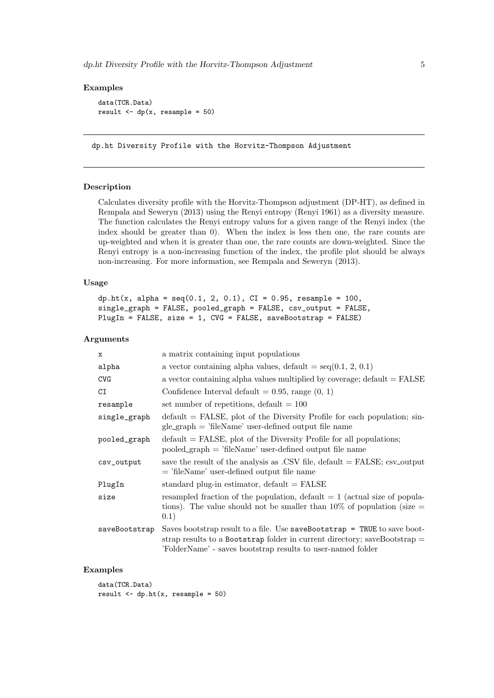```
data(TCR.Data)
result \leftarrow dp(x, resample = 50)
```
<span id="page-4-1"></span>dp.ht Diversity Profile with the Horvitz-Thompson Adjustment

## Description

Calculates diversity profile with the Horvitz-Thompson adjustment (DP-HT), as defined in Rempala and Seweryn (2013) using the Renyi entropy (Renyi 1961) as a diversity measure. The function calculates the Renyi entropy values for a given range of the Renyi index (the index should be greater than 0). When the index is less then one, the rare counts are up-weighted and when it is greater than one, the rare counts are down-weighted. Since the Renyi entropy is a non-increasing function of the index, the profile plot should be always non-increasing. For more information, see Rempala and Seweryn (2013).

#### Usage

```
dp.ht(x, alpha = seq(0.1, 2, 0.1), CI = 0.95, resample = 100,single_graph = FALSE, pooled_graph = FALSE, csv_output = FALSE,
PlugIn = FALSE, size = 1, CVG = FALSE, saveBootstrap = FALSE)
```
#### Arguments

| $\mathbf x$   | a matrix containing input populations                                                                                                                                                                                    |
|---------------|--------------------------------------------------------------------------------------------------------------------------------------------------------------------------------------------------------------------------|
| alpha         | a vector containing alpha values, default = $seq(0.1, 2, 0.1)$                                                                                                                                                           |
| <b>CVG</b>    | a vector containing alpha values multiplied by coverage; $default = FALSE$                                                                                                                                               |
| CI            | Confidence Interval default = $0.95$ , range $(0, 1)$                                                                                                                                                                    |
| resample      | set number of repetitions, default $= 100$                                                                                                                                                                               |
| single_graph  | $default = FALSE$ , plot of the Diversity Profile for each population; sin-<br>$gle\_graph = 'fileName'$ user-defined output file name                                                                                   |
| pooled_graph  | $default = FALSE$ , plot of the Diversity Profile for all populations;<br>$pooled\_graph = 'fileName' user-defined output file name$                                                                                     |
| csv_output    | save the result of the analysis as .CSV file, default $=$ FALSE; csv <sub>-output</sub><br>$=$ 'fileName' user-defined output file name                                                                                  |
| PlugIn        | standard plug-in estimator, $default = FALSE$                                                                                                                                                                            |
| size          | resampled fraction of the population, default $= 1$ (actual size of popula-<br>tions). The value should not be smaller than $10\%$ of population (size =<br>(0.1)                                                        |
| saveBootstrap | Saves bootstrap result to a file. Use saveBootstrap $=$ TRUE to save boot-<br>strap results to a Bootstrap folder in current directory; saveBootstrap $=$<br>'FolderName' - saves bootstrap results to user-named folder |

## Examples

data(TCR.Data) result  $\leftarrow$  dp.ht $(x,$  resample = 50)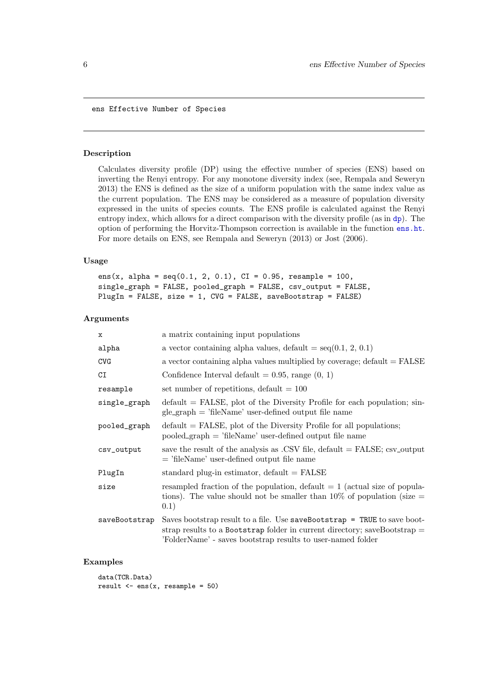<span id="page-5-1"></span><span id="page-5-0"></span>ens Effective Number of Species

#### Description

Calculates diversity profile (DP) using the effective number of species (ENS) based on inverting the Renyi entropy. For any monotone diversity index (see, Rempala and Seweryn 2013) the ENS is defined as the size of a uniform population with the same index value as the current population. The ENS may be considered as a measure of population diversity expressed in the units of species counts. The ENS profile is calculated against the Renyi entropy index, which allows for a direct comparison with the diversity profile (as in [dp](#page-3-1)). The option of performing the Horvitz-Thompson correction is available in the function [ens.ht](#page-6-1). For more details on ENS, see Rempala and Seweryn (2013) or Jost (2006).

## Usage

```
ens(x, alpha = seq(0.1, 2, 0.1), CI = 0.95, resample = 100,
single_graph = FALSE, pooled_graph = FALSE, csv_output = FALSE,
PlugIn = FALSE, size = 1, CVG = FALSE, saveBootstrap = FALSE)
```
## Arguments

| x             | a matrix containing input populations                                                                                                                                                                                  |
|---------------|------------------------------------------------------------------------------------------------------------------------------------------------------------------------------------------------------------------------|
| alpha         | a vector containing alpha values, default = $seq(0.1, 2, 0.1)$                                                                                                                                                         |
| <b>CVG</b>    | a vector containing alpha values multiplied by coverage; $\text{default} = \text{FALSE}$                                                                                                                               |
| CI            | Confidence Interval default = $0.95$ , range $(0, 1)$                                                                                                                                                                  |
| resample      | set number of repetitions, default $= 100$                                                                                                                                                                             |
| single_graph  | $default = FALSE$ , plot of the Diversity Profile for each population; sin-<br>$gle\_graph = 'fileName'$ user-defined output file name                                                                                 |
| pooled_graph  | $default = FALSE$ , plot of the Diversity Profile for all populations;<br>$pooled\_graph = 'fileName' user-defined output file name$                                                                                   |
| csv_output    | save the result of the analysis as .CSV file, default $=$ FALSE; csv_output<br>$=$ 'fileName' user-defined output file name                                                                                            |
| PlugIn        | standard plug-in estimator, $default = FALSE$                                                                                                                                                                          |
| size          | resampled fraction of the population, default $= 1$ (actual size of popula-<br>tions). The value should not be smaller than $10\%$ of population (size =<br>(0.1)                                                      |
| saveBootstrap | Saves bootstrap result to a file. Use saveBootstrap = TRUE to save boot-<br>strap results to a Bootstrap folder in current directory; saveBootstrap $=$<br>'FolderName' - saves bootstrap results to user-named folder |

#### Examples

data(TCR.Data) result  $\leq -\text{ens}(x, \text{resample} = 50)$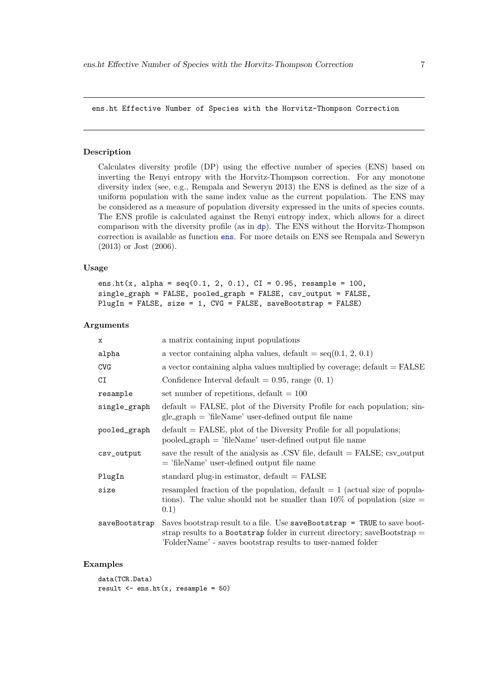#### <span id="page-6-1"></span><span id="page-6-0"></span>ens.ht Effective Number of Species with the Horvitz-Thompson Correction

#### Description

Calculates diversity profile (DP) using the effective number of species (ENS) based on inverting the Renyi entropy with the Horvitz-Thompson correction. For any monotone diversity index (see, e.g., Rempala and Seweryn 2013) the ENS is defined as the size of a uniform population with the same index value as the current population. The ENS may be considered as a measure of population diversity expressed in the units of species counts. The ENS profile is calculated against the Renyi entropy index, which allows for a direct comparison with the diversity profile (as in [dp](#page-3-1)). The ENS without the Horvitz-Thompson correction is available as function [ens](#page-5-1). For more details on ENS see Rempala and Seweryn (2013) or Jost (2006).

## Usage

```
ens.ht(x, alpha = seq(0.1, 2, 0.1), CI = 0.95, resample = 100,single_graph = FALSE, pooled_graph = FALSE, csv_output = FALSE,
PlugIn = FALSE, size = 1, CVG = FALSE, saveBootstrap = FALSE)
```
#### Arguments

| x             | a matrix containing input populations                                                                                                                                                                                  |
|---------------|------------------------------------------------------------------------------------------------------------------------------------------------------------------------------------------------------------------------|
| alpha         | a vector containing alpha values, default = $seq(0.1, 2, 0.1)$                                                                                                                                                         |
| <b>CVG</b>    | a vector containing alpha values multiplied by coverage; $default = FALSE$                                                                                                                                             |
| CI            | Confidence Interval default $= 0.95$ , range $(0, 1)$                                                                                                                                                                  |
| resample      | set number of repetitions, default $= 100$                                                                                                                                                                             |
| single_graph  | $default = FALSE$ , plot of the Diversity Profile for each population; sin-<br>$gle\_graph = 'fileName'$ user-defined output file name                                                                                 |
| pooled_graph  | $default = FALSE$ , plot of the Diversity Profile for all populations;<br>$pooled\_graph = 'fileName'$ user-defined output file name                                                                                   |
| csv_output    | save the result of the analysis as .CSV file, $default = FALSE$ ; $csv_output$<br>$=$ 'fileName' user-defined output file name                                                                                         |
| PlugIn        | standard plug-in estimator, $default = FALSE$                                                                                                                                                                          |
| size          | resampled fraction of the population, default $= 1$ (actual size of popula-<br>tions). The value should not be smaller than $10\%$ of population (size $=$<br>(0.1)                                                    |
| saveBootstrap | Saves bootstrap result to a file. Use saveBootstrap = TRUE to save boot-<br>strap results to a Bootstrap folder in current directory; saveBootstrap $=$<br>'FolderName' - saves bootstrap results to user-named folder |

#### Examples

data(TCR.Data) result  $\leq$  ens.ht $(x,$  resample = 50)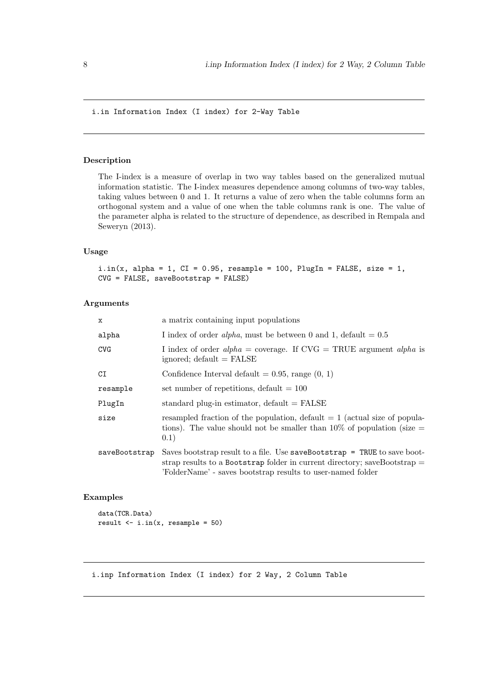<span id="page-7-1"></span><span id="page-7-0"></span>i.in Information Index (I index) for 2-Way Table

## Description

The I-index is a measure of overlap in two way tables based on the generalized mutual information statistic. The I-index measures dependence among columns of two-way tables, taking values between 0 and 1. It returns a value of zero when the table columns form an orthogonal system and a value of one when the table columns rank is one. The value of the parameter alpha is related to the structure of dependence, as described in Rempala and Seweryn (2013).

## Usage

```
i.in(x, alpha = 1, CI = 0.95, resample = 100, PlugIn = FALSE, size = 1,CVG = FALSE, saveBootstrap = FALSE)
```
# Arguments

| X             | a matrix containing input populations                                                                                                                                                                                     |
|---------------|---------------------------------------------------------------------------------------------------------------------------------------------------------------------------------------------------------------------------|
| alpha         | I index of order <i>alpha</i> , must be between 0 and 1, default $= 0.5$                                                                                                                                                  |
| <b>CVG</b>    | I index of order $alpha = coverage$ . If CVG = TRUE argument alpha is<br>ignored; $default = FALSE$                                                                                                                       |
| CI            | Confidence Interval default $= 0.95$ , range $(0, 1)$                                                                                                                                                                     |
| resample      | set number of repetitions, default $= 100$                                                                                                                                                                                |
| PlugIn        | standard plug-in estimator, $default = FALSE$                                                                                                                                                                             |
| size          | resampled fraction of the population, default $= 1$ (actual size of popula-<br>tions). The value should not be smaller than $10\%$ of population (size $=$<br>(0.1)                                                       |
| saveBootstrap | Saves bootstrap result to a file. Use $s$ aveBootstrap = TRUE to save boot-<br>strap results to a Bootstrap folder in current directory; saveBootstrap $=$<br>'FolderName' - saves bootstrap results to user-named folder |

## Examples

```
data(TCR.Data)
result \leftarrow i.in(x, resample = 50)
```
<span id="page-7-2"></span>i.inp Information Index (I index) for 2 Way, 2 Column Table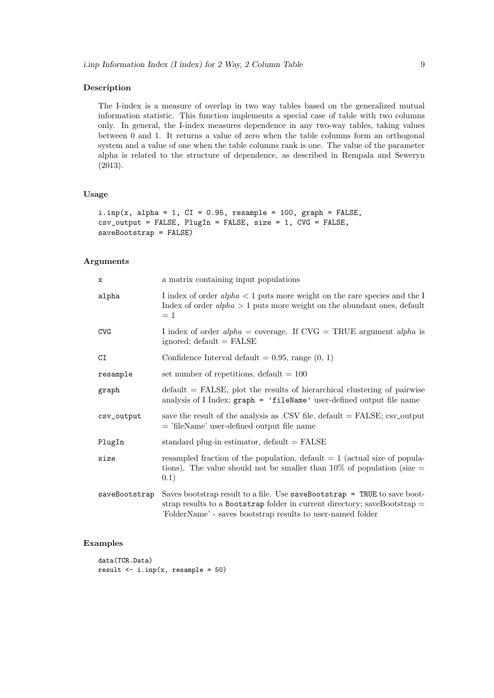## Description

The I-index is a measure of overlap in two way tables based on the generalized mutual information statistic. This function implements a special case of table with two columns only. In general, the I-index measures dependence in any two-way tables, taking values between 0 and 1. It returns a value of zero when the table columns form an orthogonal system and a value of one when the table columns rank is one. The value of the parameter alpha is related to the structure of dependence, as described in Rempala and Seweryn (2013).

## Usage

```
i.\text{inp}(x, alpha = 1, CI = 0.95, resample = 100, graph = FALSE,\text{csv\_output} = FALSE, PlugIn = FALSE, size = 1, CVG = FALSE,
saveBootstrap = FALSE)
```
# Arguments

| x             | a matrix containing input populations                                                                                                                                                                                  |
|---------------|------------------------------------------------------------------------------------------------------------------------------------------------------------------------------------------------------------------------|
| alpha         | I index of order $alpha < 1$ puts more weight on the rare species and the I<br>Index of order $alpha > 1$ puts more weight on the abundant ones, default<br>$=1$                                                       |
| <b>CVG</b>    | I index of order $alpha = coverage$ . If $CVG = TRUE$ argument $alpha$ is<br>ignored; $default = FALSE$                                                                                                                |
| CI            | Confidence Interval default = $0.95$ , range $(0, 1)$                                                                                                                                                                  |
| resample      | set number of repetitions, default $= 100$                                                                                                                                                                             |
| graph         | $default = FALSE$ , plot the results of hierarchical clustering of pairwise<br>analysis of I Index; graph = 'fileName' user-defined output file name                                                                   |
| csv_output    | save the result of the analysis as .CSV file, $default = FALSE$ ; $csv\_output$<br>$=$ 'fileName' user-defined output file name                                                                                        |
| PlugIn        | standard plug-in estimator, $default = FALSE$                                                                                                                                                                          |
| size          | resampled fraction of the population, default $= 1$ (actual size of popula-<br>tions). The value should not be smaller than $10\%$ of population (size =<br>(0.1)                                                      |
| saveBootstrap | Saves bootstrap result to a file. Use saveBootstrap = TRUE to save boot-<br>strap results to a Bootstrap folder in current directory; saveBootstrap $=$<br>'FolderName' - saves bootstrap results to user-named folder |

## Examples

```
data(TCR.Data)
result \leftarrow i.inp(x, resample = 50)
```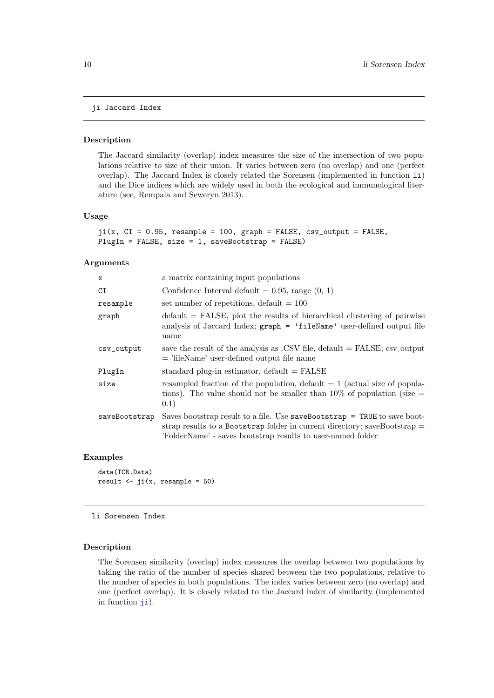## <span id="page-9-1"></span><span id="page-9-0"></span>ji Jaccard Index

## Description

The Jaccard similarity (overlap) index measures the size of the intersection of two populations relative to size of their union. It varies between zero (no overlap) and one (perfect overlap). The Jaccard Index is closely related the Sorensen (implemented in function [li](#page-9-2)) and the Dice indices which are widely used in both the ecological and immunological literature (see, Rempala and Seweryn 2013).

#### Usage

```
ji(x, CI = 0.95, resample = 100, graph = FALSE, csv_output = FALSE,PlugIn = FALSE, size = 1, saveBootstrap = FALSE)
```
#### Arguments

| a matrix containing input populations                                                                                                                                                                                    |
|--------------------------------------------------------------------------------------------------------------------------------------------------------------------------------------------------------------------------|
| Confidence Interval default $= 0.95$ , range $(0, 1)$                                                                                                                                                                    |
| set number of repetitions, default $= 100$                                                                                                                                                                               |
| $default = FALSE$ , plot the results of hierarchical clustering of pairwise<br>analysis of Jaccard Index; graph = 'fileName' user-defined output file<br>name                                                            |
| save the result of the analysis as .CSV file, default $=$ FALSE; csv_output<br>$=$ 'fileName' user-defined output file name                                                                                              |
| standard plug-in estimator, $default = FALSE$                                                                                                                                                                            |
| resampled fraction of the population, default $= 1$ (actual size of popula-<br>tions). The value should not be smaller than 10% of population (size $=$<br>(0.1)                                                         |
| Saves bootstrap result to a file. Use saveBootstrap $=$ TRUE to save boot-<br>strap results to a Bootstrap folder in current directory; saveBootstrap $=$<br>'FolderName' - saves bootstrap results to user-named folder |
|                                                                                                                                                                                                                          |

## Examples

```
data(TCR.Data)
result \leftarrow ji(x, resample = 50)
```
<span id="page-9-2"></span>li Sorensen Index

#### Description

The Sorensen similarity (overlap) index measures the overlap between two populations by taking the ratio of the number of species shared between the two populations, relative to the number of species in both populations. The index varies between zero (no overlap) and one (perfect overlap). It is closely related to the Jaccard index of similarity (implemented in function [ji](#page-9-1)).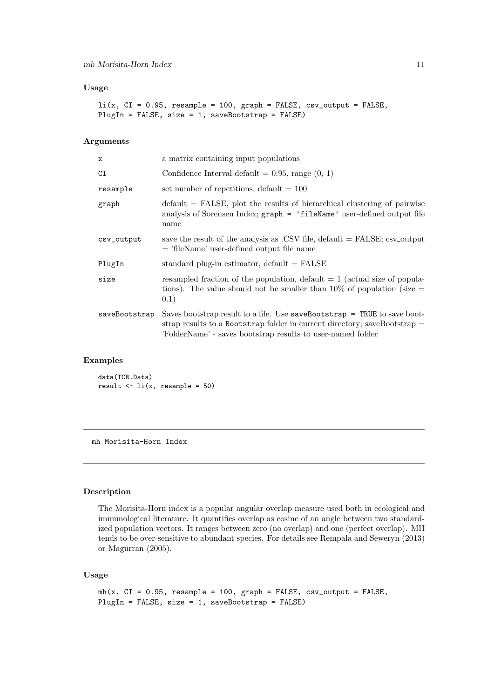#### <span id="page-10-0"></span>Usage

```
li(x, CI = 0.95, resample = 100, graph = FALSE, csv_output = FALSE,PlugIn = FALSE, size = 1, saveBoostrap = FALSE)
```
## Arguments

| a matrix containing input populations                                                                                                                                                                                     |
|---------------------------------------------------------------------------------------------------------------------------------------------------------------------------------------------------------------------------|
| Confidence Interval default $= 0.95$ , range $(0, 1)$                                                                                                                                                                     |
| set number of repetitions, default $= 100$                                                                                                                                                                                |
| $default = FALSE$ , plot the results of hierarchical clustering of pairwise<br>analysis of Sorensen Index; graph = 'fileName' user-defined output file<br>name                                                            |
| save the result of the analysis as .CSV file, $default = FALSE$ ; $csv\_output$<br>$=$ 'fileName' user-defined output file name                                                                                           |
| standard plug-in estimator, $default = FALSE$                                                                                                                                                                             |
| resampled fraction of the population, default $= 1$ (actual size of popula-<br>tions). The value should not be smaller than $10\%$ of population (size =<br>0.1)                                                          |
| Saves bootstrap result to a file. Use $s$ aveBootstrap = TRUE to save boot-<br>strap results to a Bootstrap folder in current directory; saveBootstrap $=$<br>'FolderName' - saves bootstrap results to user-named folder |
|                                                                                                                                                                                                                           |

## Examples

data(TCR.Data) result  $\leftarrow$  li(x, resample = 50)

<span id="page-10-1"></span>mh Morisita-Horn Index

## Description

The Morisita-Horn index is a popular angular overlap measure used both in ecological and immunological literature. It quantifies overlap as cosine of an angle between two standardized population vectors. It ranges between zero (no overlap) and one (perfect overlap). MH tends to be over-sensitive to abundant species. For details see Rempala and Seweryn (2013) or Magurran (2005).

## Usage

```
mh(x, CI = 0.95, resample = 100, graph = FALSE, csv_output = FALSE,PlugIn = FALSE, size = 1, saveBootstrap = FALSE)
```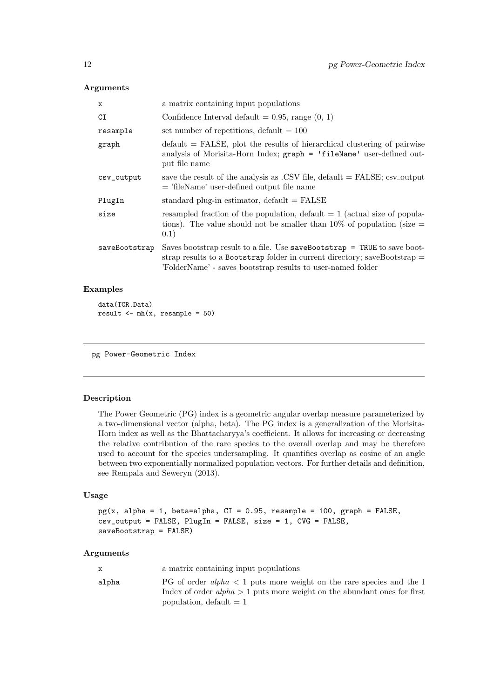#### <span id="page-11-0"></span>Arguments

| $\mathbf x$   | a matrix containing input populations                                                                                                                                                                                     |
|---------------|---------------------------------------------------------------------------------------------------------------------------------------------------------------------------------------------------------------------------|
| CI            | Confidence Interval default = $0.95$ , range $(0, 1)$                                                                                                                                                                     |
| resample      | set number of repetitions, default $= 100$                                                                                                                                                                                |
| graph         | $\delta$ default = FALSE, plot the results of hierarchical clustering of pairwise<br>analysis of Morisita-Horn Index; graph = 'fileName' user-defined out-<br>put file name                                               |
| csv_output    | save the result of the analysis as .CSV file, default $=$ FALSE; csv_output<br>$=$ 'fileName' user-defined output file name                                                                                               |
| PlugIn        | standard plug-in estimator, $default = FALSE$                                                                                                                                                                             |
| size          | resampled fraction of the population, default $= 1$ (actual size of popula-<br>tions). The value should not be smaller than $10\%$ of population (size =<br>(0.1)                                                         |
| saveBootstrap | Saves bootstrap result to a file. Use $s$ aveBootstrap = TRUE to save boot-<br>strap results to a Bootstrap folder in current directory; saveBootstrap $=$<br>'FolderName' - saves bootstrap results to user-named folder |

## Examples

data(TCR.Data) result  $\leq -mh(x,$  resample = 50)

<span id="page-11-1"></span>pg Power-Geometric Index

## Description

The Power Geometric (PG) index is a geometric angular overlap measure parameterized by a two-dimensional vector (alpha, beta). The PG index is a generalization of the Morisita-Horn index as well as the Bhattacharyya's coefficient. It allows for increasing or decreasing the relative contribution of the rare species to the overall overlap and may be therefore used to account for the species undersampling. It quantifies overlap as cosine of an angle between two exponentially normalized population vectors. For further details and definition, see Rempala and Seweryn (2013).

## Usage

```
pg(x, alpha = 1, beta = alpha, CI = 0.95, resample = 100, graph = FALSE,csv_output = FALSE, PlugIn = FALSE, size = 1, CVG = FALSE,
saveBootstrap = FALSE)
```

| x     | a matrix containing input populations                                                                                                                                               |
|-------|-------------------------------------------------------------------------------------------------------------------------------------------------------------------------------------|
| alpha | PG of order alpha $\lt 1$ puts more weight on the rare species and the I<br>Index of order $alpha > 1$ puts more weight on the abundant ones for first<br>population, $default = 1$ |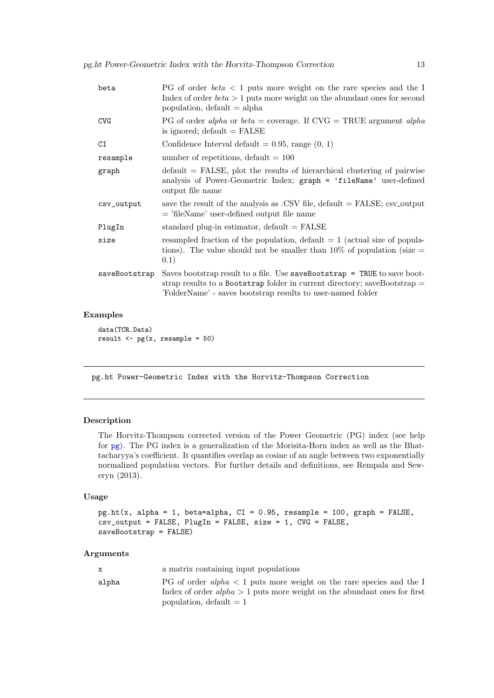<span id="page-12-0"></span>

| beta          | PG of order $beta < 1$ puts more weight on the rare species and the I<br>Index of order $beta > 1$ puts more weight on the abundant ones for second<br>population, $default = alpha$                                   |
|---------------|------------------------------------------------------------------------------------------------------------------------------------------------------------------------------------------------------------------------|
| <b>CVG</b>    | PG of order alpha or beta = coverage. If $CVG = TRUE$ argument alpha<br>is ignored; $default = FALSE$                                                                                                                  |
| CI            | Confidence Interval default = $0.95$ , range $(0, 1)$                                                                                                                                                                  |
| resample      | number of repetitions, default $= 100$                                                                                                                                                                                 |
| graph         | $default = FALSE$ , plot the results of hierarchical clustering of pairwise<br>analysis of Power-Geometric Index; graph = 'fileName' user-defined<br>output file name                                                  |
| csv_output    | save the result of the analysis as .CSV file, $default = FALSE$ ; $csv_output$<br>$=$ 'fileName' user-defined output file name                                                                                         |
| PlugIn        | standard plug-in estimator, $default = FALSE$                                                                                                                                                                          |
| size          | resampled fraction of the population, default $= 1$ (actual size of popula-<br>tions). The value should not be smaller than $10\%$ of population (size $=$<br>(0.1)                                                    |
| saveBootstrap | Saves bootstrap result to a file. Use saveBootstrap = TRUE to save boot-<br>strap results to a Bootstrap folder in current directory; saveBootstrap $=$<br>'FolderName' - saves bootstrap results to user-named folder |

data(TCR.Data) result  $\leftarrow$  pg(x, resample = 50)

<span id="page-12-1"></span>pg.ht Power-Geometric Index with the Horvitz-Thompson Correction

## Description

The Horvitz-Thompson corrected version of the Power Geometric (PG) index (see help for [pg](#page-11-1)). The PG index is a generalization of the Morisita-Horn index as well as the Bhattacharyya's coefficient. It quantifies overlap as cosine of an angle between two exponentially normalized population vectors. For further details and definitions, see Rempala and Seweryn (2013).

## Usage

```
pg.ht(x, alpha = 1, beta = alpha, CI = 0.95, resample = 100, graph = FALSE,csv_output = FALSE, PlugIn = FALSE, size = 1, CVG = FALSE,
saveBootstrap = FALSE)
```

| x     | a matrix containing input populations                                                                                                                                               |
|-------|-------------------------------------------------------------------------------------------------------------------------------------------------------------------------------------|
| alpha | PG of order alpha $\lt 1$ puts more weight on the rare species and the I<br>Index of order $alpha > 1$ puts more weight on the abundant ones for first<br>population, $default = 1$ |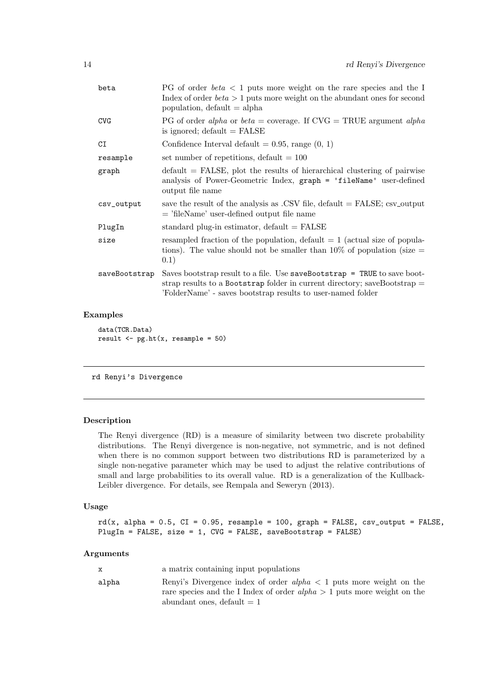<span id="page-13-0"></span>

| beta          | PG of order $beta < 1$ puts more weight on the rare species and the I<br>Index of order $beta > 1$ puts more weight on the abundant ones for second<br>population, $default = alpha$                                   |
|---------------|------------------------------------------------------------------------------------------------------------------------------------------------------------------------------------------------------------------------|
| <b>CVG</b>    | PG of order alpha or beta = coverage. If $CVG = TRUE$ argument alpha<br>is ignored; $default = FALSE$                                                                                                                  |
| C1            | Confidence Interval default = $0.95$ , range $(0, 1)$                                                                                                                                                                  |
| resample      | set number of repetitions, default $= 100$                                                                                                                                                                             |
| graph         | $\delta$ default = FALSE, plot the results of hierarchical clustering of pairwise<br>analysis of Power-Geometric Index, graph = 'fileName' user-defined<br>output file name                                            |
| csv_output    | save the result of the analysis as .CSV file, $default = FALSE$ ; $csv\_output$<br>$=$ 'fileName' user-defined output file name                                                                                        |
| PlugIn        | standard plug-in estimator, $default = FALSE$                                                                                                                                                                          |
| size          | resampled fraction of the population, default $= 1$ (actual size of popula-<br>tions). The value should not be smaller than $10\%$ of population (size $=$<br>(0.1)                                                    |
| saveBootstrap | Saves bootstrap result to a file. Use saveBootstrap = TRUE to save boot-<br>strap results to a Bootstrap folder in current directory; saveBootstrap $=$<br>'FolderName' - saves bootstrap results to user-named folder |

data(TCR.Data) result  $\leftarrow$  pg.ht $(x,$  resample = 50)

<span id="page-13-1"></span>rd Renyi's Divergence

## Description

The Renyi divergence (RD) is a measure of similarity between two discrete probability distributions. The Renyi divergence is non-negative, not symmetric, and is not defined when there is no common support between two distributions RD is parameterized by a single non-negative parameter which may be used to adjust the relative contributions of small and large probabilities to its overall value. RD is a generalization of the Kullback-Leibler divergence. For details, see Rempala and Seweryn (2013).

## Usage

```
rd(x, alpha = 0.5, CI = 0.95, resample = 100, graph = FALSE, csv_output = FALSE,PlugIn = FALSE, size = 1, CVG = FALSE, saveBootstrap = FALSE)
```

| $\mathbf{x}$ | a matrix containing input populations                                                                                                                                              |
|--------------|------------------------------------------------------------------------------------------------------------------------------------------------------------------------------------|
| alpha        | Renyi's Divergence index of order $alpha < 1$ puts more weight on the<br>rare species and the I Index of order $alpha > 1$ puts more weight on the<br>abundant ones, default $= 1$ |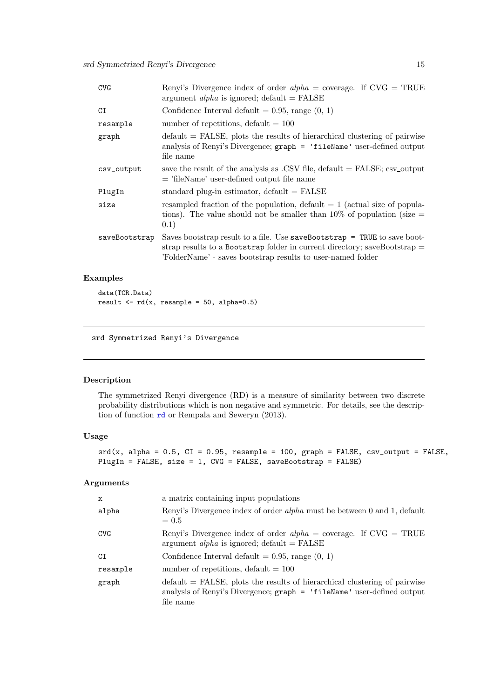<span id="page-14-0"></span>

| <b>CVG</b>    | Renyi's Divergence index of order $alpha = coverage$ . If $CVG = TRUE$<br>argument <i>alpha</i> is ignored; default = $FALSE$                                                                                            |
|---------------|--------------------------------------------------------------------------------------------------------------------------------------------------------------------------------------------------------------------------|
| CI            | Confidence Interval default $= 0.95$ , range $(0, 1)$                                                                                                                                                                    |
| resample      | number of repetitions, default $= 100$                                                                                                                                                                                   |
| graph         | $default = FALSE$ , plots the results of hierarchical clustering of pairwise<br>analysis of Renyi's Divergence; graph = 'fileName' user-defined output<br>file name                                                      |
| csv_output    | save the result of the analysis as .CSV file, default $=$ FALSE; csv_output<br>$=$ 'fileName' user-defined output file name                                                                                              |
| PlugIn        | standard plug-in estimator, $default = FALSE$                                                                                                                                                                            |
| size          | resampled fraction of the population, default $= 1$ (actual size of popula-<br>tions). The value should not be smaller than $10\%$ of population (size $=$<br>(0.1)                                                      |
| saveBootstrap | Saves bootstrap result to a file. Use saveBootstrap $=$ TRUE to save boot-<br>strap results to a Bootstrap folder in current directory; saveBootstrap $=$<br>'FolderName' - saves bootstrap results to user-named folder |

data(TCR.Data) result  $\leftarrow$  rd(x, resample = 50, alpha=0.5)

<span id="page-14-1"></span>srd Symmetrized Renyi's Divergence

# Description

The symmetrized Renyi divergence (RD) is a measure of similarity between two discrete probability distributions which is non negative and symmetric. For details, see the description of function [rd](#page-13-1) or Rempala and Seweryn (2013).

## Usage

```
srd(x, alpha = 0.5, CI = 0.95, resample = 100, graph = FALSE, csv_output = FALSE,PlugIn = FALSE, size = 1, CVG = FALSE, saveBootstrap = FALSE)
```

| X          | a matrix containing input populations                                                                                                                                     |
|------------|---------------------------------------------------------------------------------------------------------------------------------------------------------------------------|
| alpha      | Renyi's Divergence index of order <i>alpha</i> must be between 0 and 1, default<br>$= 0.5$                                                                                |
| <b>CVG</b> | Renyi's Divergence index of order $alpha = \text{coverage}$ . If $\text{CVG} = \text{TRUE}$<br>argument <i>alpha</i> is ignored; default = $FALSE$                        |
| C1         | Confidence Interval default $= 0.95$ , range $(0, 1)$                                                                                                                     |
| resample   | number of repetitions, default $= 100$                                                                                                                                    |
| graph      | $\delta$ default = FALSE, plots the results of hierarchical clustering of pairwise<br>analysis of Renyi's Divergence; graph = 'fileName' user-defined output<br>file name |